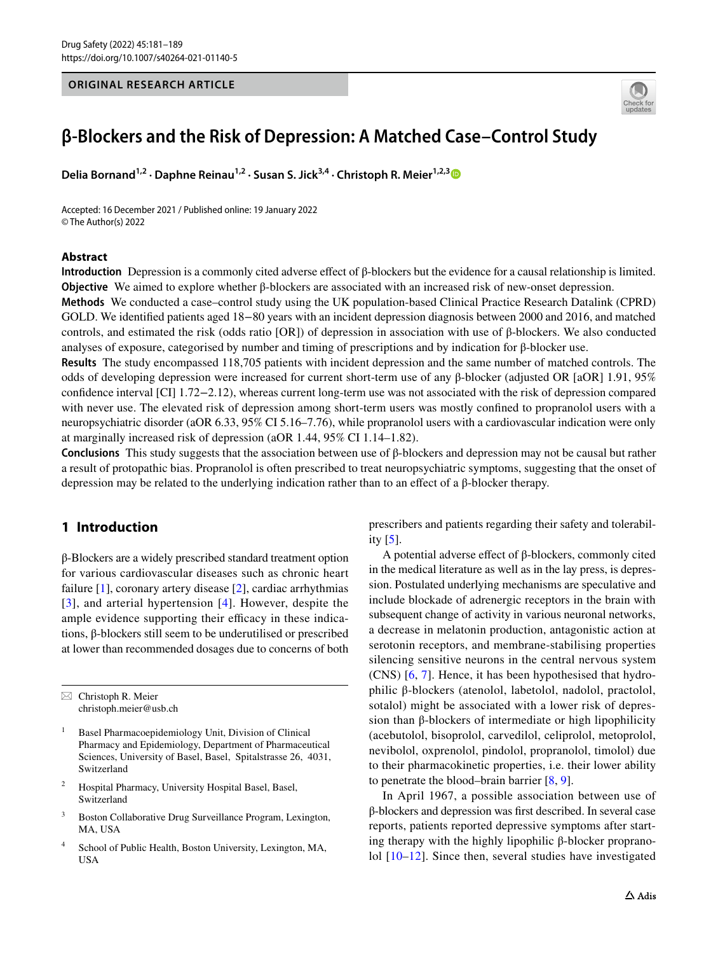### **ORIGINAL RESEARCH ARTICLE**



# **β‑Blockers and the Risk of Depression: A Matched Case–Control Study**

**Delia Bornand**<sup>1,2</sup> · Daphne Reinau<sup>1,2</sup> · Susan S. Jick<sup>[3](http://orcid.org/0000-0002-7120-6378),4</sup> · Christoph R. Meier<sup>1,2,3</sup>

Accepted: 16 December 2021 / Published online: 19 January 2022 © The Author(s) 2022

#### **Abstract**

**Introduction** Depression is a commonly cited adverse efect of β-blockers but the evidence for a causal relationship is limited. **Objective** We aimed to explore whether β-blockers are associated with an increased risk of new-onset depression.

**Methods** We conducted a case–control study using the UK population-based Clinical Practice Research Datalink (CPRD) GOLD. We identifed patients aged 18−80 years with an incident depression diagnosis between 2000 and 2016, and matched controls, and estimated the risk (odds ratio [OR]) of depression in association with use of β-blockers. We also conducted analyses of exposure, categorised by number and timing of prescriptions and by indication for β-blocker use.

**Results** The study encompassed 118,705 patients with incident depression and the same number of matched controls. The odds of developing depression were increased for current short-term use of any β-blocker (adjusted OR [aOR] 1.91, 95% confdence interval [CI] 1.72−2.12), whereas current long-term use was not associated with the risk of depression compared with never use. The elevated risk of depression among short-term users was mostly confned to propranolol users with a neuropsychiatric disorder (aOR 6.33, 95% CI 5.16–7.76), while propranolol users with a cardiovascular indication were only at marginally increased risk of depression (aOR 1.44, 95% CI 1.14–1.82).

**Conclusions** This study suggests that the association between use of β-blockers and depression may not be causal but rather a result of protopathic bias. Propranolol is often prescribed to treat neuropsychiatric symptoms, suggesting that the onset of depression may be related to the underlying indication rather than to an efect of a β-blocker therapy.

# **1 Introduction**

β-Blockers are a widely prescribed standard treatment option for various cardiovascular diseases such as chronic heart failure  $[1]$  $[1]$ , coronary artery disease  $[2]$  $[2]$ , cardiac arrhythmias [[3\]](#page-8-1), and arterial hypertension [\[4](#page-8-2)]. However, despite the ample evidence supporting their efficacy in these indications, β-blockers still seem to be underutilised or prescribed at lower than recommended dosages due to concerns of both

 $\boxtimes$  Christoph R. Meier christoph.meier@usb.ch

- Basel Pharmacoepidemiology Unit, Division of Clinical Pharmacy and Epidemiology, Department of Pharmaceutical Sciences, University of Basel, Basel, Spitalstrasse 26, 4031, Switzerland
- <sup>2</sup> Hospital Pharmacy, University Hospital Basel, Basel, Switzerland
- <sup>3</sup> Boston Collaborative Drug Surveillance Program, Lexington, MA, USA
- <sup>4</sup> School of Public Health, Boston University, Lexington, MA, USA

prescribers and patients regarding their safety and tolerability [[5\]](#page-8-3).

A potential adverse efect of β-blockers, commonly cited in the medical literature as well as in the lay press, is depression. Postulated underlying mechanisms are speculative and include blockade of adrenergic receptors in the brain with subsequent change of activity in various neuronal networks, a decrease in melatonin production, antagonistic action at serotonin receptors, and membrane-stabilising properties silencing sensitive neurons in the central nervous system (CNS) [[6](#page-8-4), [7\]](#page-8-5). Hence, it has been hypothesised that hydrophilic β-blockers (atenolol, labetolol, nadolol, practolol, sotalol) might be associated with a lower risk of depression than β-blockers of intermediate or high lipophilicity (acebutolol, bisoprolol, carvedilol, celiprolol, metoprolol, nevibolol, oxprenolol, pindolol, propranolol, timolol) due to their pharmacokinetic properties, i.e. their lower ability to penetrate the blood–brain barrier [\[8](#page-8-6), [9](#page-8-7)].

In April 1967, a possible association between use of β-blockers and depression was frst described. In several case reports, patients reported depressive symptoms after starting therapy with the highly lipophilic β-blocker propranolol [[10](#page-8-8)[–12\]](#page-8-9). Since then, several studies have investigated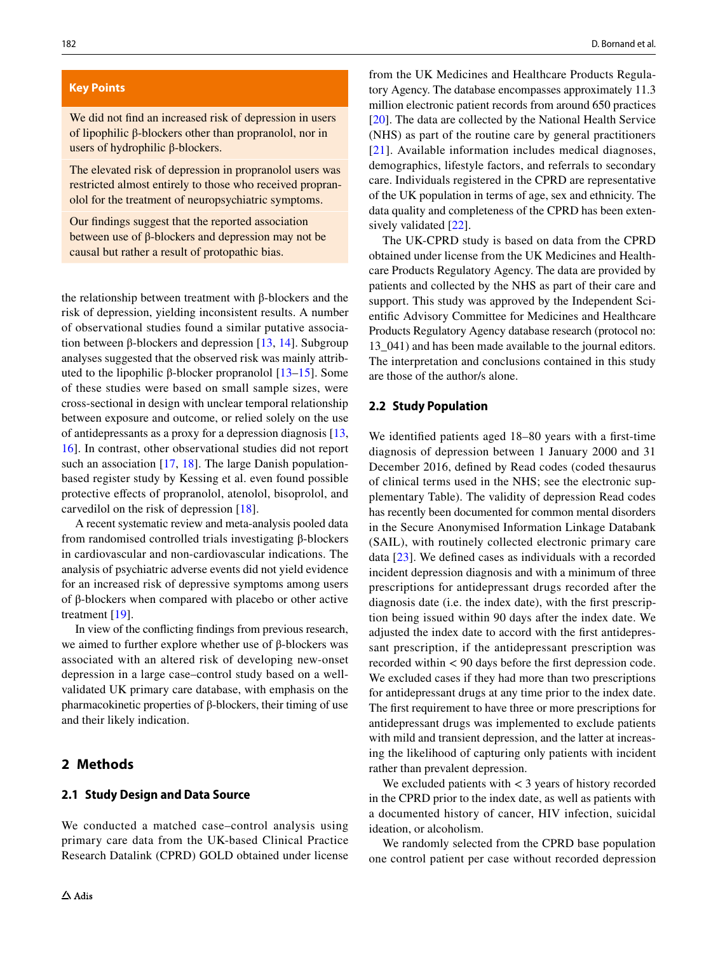#### **Key Points**

We did not fnd an increased risk of depression in users of lipophilic β-blockers other than propranolol, nor in users of hydrophilic β-blockers.

The elevated risk of depression in propranolol users was restricted almost entirely to those who received propranolol for the treatment of neuropsychiatric symptoms.

Our fndings suggest that the reported association between use of β-blockers and depression may not be causal but rather a result of protopathic bias.

the relationship between treatment with β-blockers and the risk of depression, yielding inconsistent results. A number of observational studies found a similar putative association between β-blockers and depression  $[13, 14]$  $[13, 14]$  $[13, 14]$  $[13, 14]$ . Subgroup analyses suggested that the observed risk was mainly attributed to the lipophilic β-blocker propranolol  $[13-15]$  $[13-15]$  $[13-15]$ . Some of these studies were based on small sample sizes, were cross-sectional in design with unclear temporal relationship between exposure and outcome, or relied solely on the use of antidepressants as a proxy for a depression diagnosis [[13,](#page-8-14) [16](#page-8-17)]. In contrast, other observational studies did not report such an association [[17,](#page-8-18) [18](#page-8-19)]. The large Danish populationbased register study by Kessing et al. even found possible protective efects of propranolol, atenolol, bisoprolol, and carvedilol on the risk of depression [[18](#page-8-19)].

A recent systematic review and meta-analysis pooled data from randomised controlled trials investigating β-blockers in cardiovascular and non-cardiovascular indications. The analysis of psychiatric adverse events did not yield evidence for an increased risk of depressive symptoms among users of β-blockers when compared with placebo or other active treatment [[19](#page-8-20)].

In view of the conficting fndings from previous research, we aimed to further explore whether use of β-blockers was associated with an altered risk of developing new-onset depression in a large case–control study based on a wellvalidated UK primary care database, with emphasis on the pharmacokinetic properties of β-blockers, their timing of use and their likely indication.

## **2 Methods**

#### **2.1 Study Design and Data Source**

We conducted a matched case–control analysis using primary care data from the UK-based Clinical Practice Research Datalink (CPRD) GOLD obtained under license from the UK Medicines and Healthcare Products Regulatory Agency. The database encompasses approximately 11.3 million electronic patient records from around 650 practices [[20\]](#page-8-10). The data are collected by the National Health Service (NHS) as part of the routine care by general practitioners [[21](#page-8-11)]. Available information includes medical diagnoses, demographics, lifestyle factors, and referrals to secondary care. Individuals registered in the CPRD are representative of the UK population in terms of age, sex and ethnicity. The data quality and completeness of the CPRD has been extensively validated [[22](#page-8-12)].

The UK-CPRD study is based on data from the CPRD obtained under license from the UK Medicines and Healthcare Products Regulatory Agency. The data are provided by patients and collected by the NHS as part of their care and support. This study was approved by the Independent Scientifc Advisory Committee for Medicines and Healthcare Products Regulatory Agency database research (protocol no: 13\_041) and has been made available to the journal editors. The interpretation and conclusions contained in this study are those of the author/s alone.

#### **2.2 Study Population**

We identifed patients aged 18–80 years with a frst-time diagnosis of depression between 1 January 2000 and 31 December 2016, defned by Read codes (coded thesaurus of clinical terms used in the NHS; see the electronic supplementary Table). The validity of depression Read codes has recently been documented for common mental disorders in the Secure Anonymised Information Linkage Databank (SAIL), with routinely collected electronic primary care data [\[23](#page-8-13)]. We defned cases as individuals with a recorded incident depression diagnosis and with a minimum of three prescriptions for antidepressant drugs recorded after the diagnosis date (i.e. the index date), with the first prescription being issued within 90 days after the index date. We adjusted the index date to accord with the frst antidepressant prescription, if the antidepressant prescription was recorded within < 90 days before the frst depression code. We excluded cases if they had more than two prescriptions for antidepressant drugs at any time prior to the index date. The frst requirement to have three or more prescriptions for antidepressant drugs was implemented to exclude patients with mild and transient depression, and the latter at increasing the likelihood of capturing only patients with incident rather than prevalent depression.

We excluded patients with  $<$  3 years of history recorded in the CPRD prior to the index date, as well as patients with a documented history of cancer, HIV infection, suicidal ideation, or alcoholism.

We randomly selected from the CPRD base population one control patient per case without recorded depression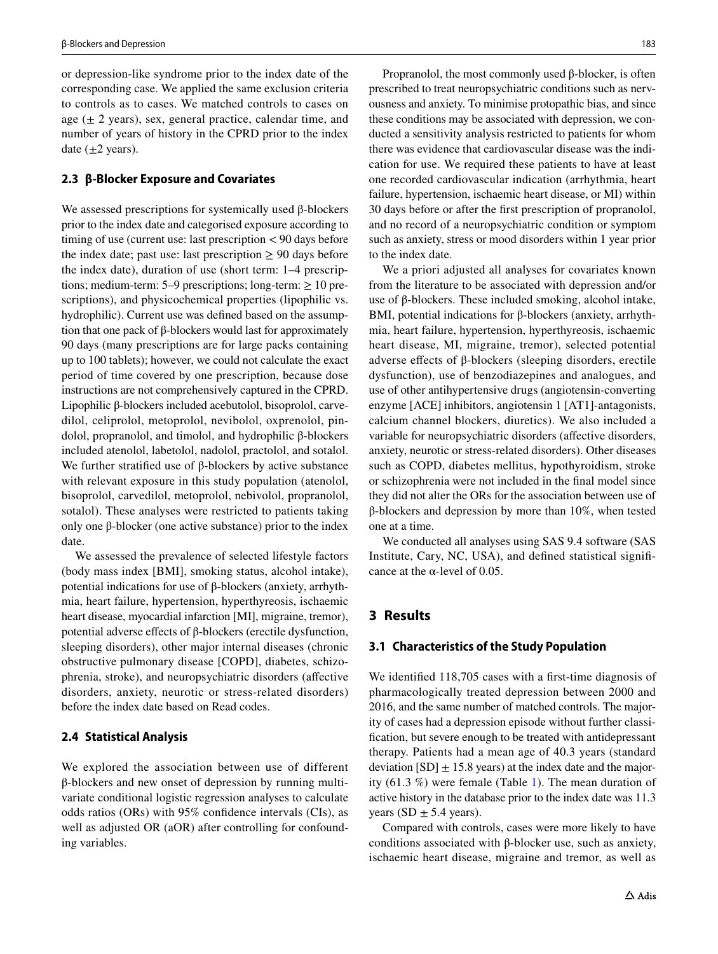or depression-like syndrome prior to the index date of the corresponding case. We applied the same exclusion criteria to controls as to cases. We matched controls to cases on age  $(\pm 2 \text{ years})$ , sex, general practice, calendar time, and number of years of history in the CPRD prior to the index date  $(\pm 2 \text{ years})$ .

#### **2.3 β‑Blocker Exposure and Covariates**

We assessed prescriptions for systemically used β-blockers prior to the index date and categorised exposure according to timing of use (current use: last prescription < 90 days before the index date; past use: last prescription  $\geq 90$  days before the index date), duration of use (short term: 1–4 prescriptions; medium-term: 5–9 prescriptions; long-term:  $\geq 10$  prescriptions), and physicochemical properties (lipophilic vs. hydrophilic). Current use was defned based on the assumption that one pack of β-blockers would last for approximately 90 days (many prescriptions are for large packs containing up to 100 tablets); however, we could not calculate the exact period of time covered by one prescription, because dose instructions are not comprehensively captured in the CPRD. Lipophilic β-blockers included acebutolol, bisoprolol, carvedilol, celiprolol, metoprolol, nevibolol, oxprenolol, pindolol, propranolol, and timolol, and hydrophilic β-blockers included atenolol, labetolol, nadolol, practolol, and sotalol. We further stratified use of β-blockers by active substance with relevant exposure in this study population (atenolol, bisoprolol, carvedilol, metoprolol, nebivolol, propranolol, sotalol). These analyses were restricted to patients taking only one β-blocker (one active substance) prior to the index date.

We assessed the prevalence of selected lifestyle factors (body mass index [BMI], smoking status, alcohol intake), potential indications for use of β-blockers (anxiety, arrhythmia, heart failure, hypertension, hyperthyreosis, ischaemic heart disease, myocardial infarction [MI], migraine, tremor), potential adverse efects of β-blockers (erectile dysfunction, sleeping disorders), other major internal diseases (chronic obstructive pulmonary disease [COPD], diabetes, schizophrenia, stroke), and neuropsychiatric disorders (afective disorders, anxiety, neurotic or stress-related disorders) before the index date based on Read codes.

#### **2.4 Statistical Analysis**

We explored the association between use of different β-blockers and new onset of depression by running multivariate conditional logistic regression analyses to calculate odds ratios (ORs) with 95% confdence intervals (CIs), as well as adjusted OR (aOR) after controlling for confounding variables.

Propranolol, the most commonly used β-blocker, is often prescribed to treat neuropsychiatric conditions such as nervousness and anxiety. To minimise protopathic bias, and since these conditions may be associated with depression, we conducted a sensitivity analysis restricted to patients for whom there was evidence that cardiovascular disease was the indication for use. We required these patients to have at least one recorded cardiovascular indication (arrhythmia, heart failure, hypertension, ischaemic heart disease, or MI) within 30 days before or after the frst prescription of propranolol, and no record of a neuropsychiatric condition or symptom such as anxiety, stress or mood disorders within 1 year prior to the index date.

We a priori adjusted all analyses for covariates known from the literature to be associated with depression and/or use of β-blockers. These included smoking, alcohol intake, BMI, potential indications for β-blockers (anxiety, arrhythmia, heart failure, hypertension, hyperthyreosis, ischaemic heart disease, MI, migraine, tremor), selected potential adverse efects of β-blockers (sleeping disorders, erectile dysfunction), use of benzodiazepines and analogues, and use of other antihypertensive drugs (angiotensin-converting enzyme [ACE] inhibitors, angiotensin 1 [AT1]-antagonists, calcium channel blockers, diuretics). We also included a variable for neuropsychiatric disorders (affective disorders, anxiety, neurotic or stress-related disorders). Other diseases such as COPD, diabetes mellitus, hypothyroidism, stroke or schizophrenia were not included in the fnal model since they did not alter the ORs for the association between use of β-blockers and depression by more than 10%, when tested one at a time.

We conducted all analyses using SAS 9.4 software (SAS Institute, Cary, NC, USA), and defned statistical signifcance at the  $\alpha$ -level of 0.05.

## **3 Results**

#### **3.1 Characteristics of the Study Population**

We identified 118,705 cases with a first-time diagnosis of pharmacologically treated depression between 2000 and 2016, and the same number of matched controls. The majority of cases had a depression episode without further classifcation, but severe enough to be treated with antidepressant therapy. Patients had a mean age of 40.3 years (standard deviation  $[SD] \pm 15.8$  years) at the index date and the majority (61.3 %) were female (Table [1\)](#page-4-0). The mean duration of active history in the database prior to the index date was 11.3 years (SD  $\pm$  5.4 years).

Compared with controls, cases were more likely to have conditions associated with β-blocker use, such as anxiety, ischaemic heart disease, migraine and tremor, as well as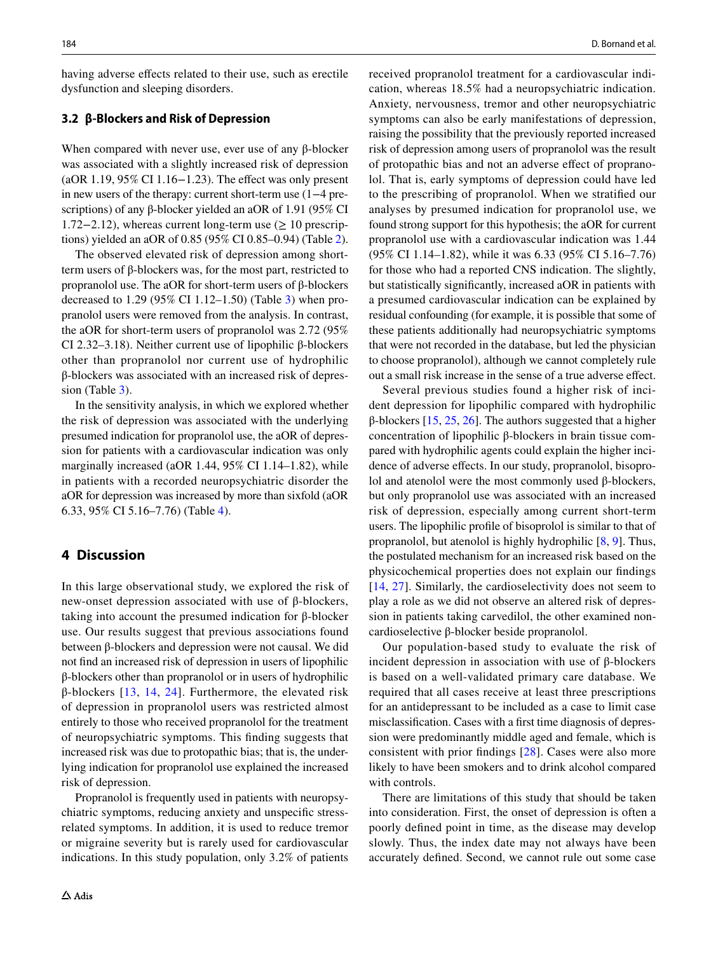having adverse effects related to their use, such as erectile dysfunction and sleeping disorders.

## **3.2 β‑Blockers and Risk of Depression**

When compared with never use, ever use of any β-blocker was associated with a slightly increased risk of depression (aOR 1.19, 95% CI 1.16−1.23). The efect was only present in new users of the therapy: current short-term use (1−4 prescriptions) of any β-blocker yielded an aOR of 1.91 (95% CI 1.72−2.12), whereas current long-term use (≥ 10 prescriptions) yielded an aOR of 0.85 (95% CI 0.85–0.94) (Table [2](#page-5-0)).

The observed elevated risk of depression among shortterm users of β-blockers was, for the most part, restricted to propranolol use. The aOR for short-term users of β-blockers decreased to 1.29 (95% CI 1.12–1.50) (Table [3\)](#page-6-0) when propranolol users were removed from the analysis. In contrast, the aOR for short-term users of propranolol was 2.72 (95% CI 2.32–3.18). Neither current use of lipophilic β-blockers other than propranolol nor current use of hydrophilic β-blockers was associated with an increased risk of depression (Table [3\)](#page-6-0).

In the sensitivity analysis, in which we explored whether the risk of depression was associated with the underlying presumed indication for propranolol use, the aOR of depression for patients with a cardiovascular indication was only marginally increased (aOR 1.44, 95% CI 1.14–1.82), while in patients with a recorded neuropsychiatric disorder the aOR for depression was increased by more than sixfold (aOR 6.33, 95% CI 5.16–7.76) (Table [4](#page-7-1)).

# **4 Discussion**

In this large observational study, we explored the risk of new-onset depression associated with use of β-blockers, taking into account the presumed indication for β-blocker use. Our results suggest that previous associations found between β-blockers and depression were not causal. We did not fnd an increased risk of depression in users of lipophilic β-blockers other than propranolol or in users of hydrophilic β-blockers [[13](#page-8-14), [14](#page-8-15), [24](#page-8-21)]. Furthermore, the elevated risk of depression in propranolol users was restricted almost entirely to those who received propranolol for the treatment of neuropsychiatric symptoms. This fnding suggests that increased risk was due to protopathic bias; that is, the underlying indication for propranolol use explained the increased risk of depression.

Propranolol is frequently used in patients with neuropsychiatric symptoms, reducing anxiety and unspecifc stressrelated symptoms. In addition, it is used to reduce tremor or migraine severity but is rarely used for cardiovascular indications. In this study population, only 3.2% of patients received propranolol treatment for a cardiovascular indication, whereas 18.5% had a neuropsychiatric indication. Anxiety, nervousness, tremor and other neuropsychiatric symptoms can also be early manifestations of depression, raising the possibility that the previously reported increased risk of depression among users of propranolol was the result of protopathic bias and not an adverse efect of propranolol. That is, early symptoms of depression could have led to the prescribing of propranolol. When we stratifed our analyses by presumed indication for propranolol use, we found strong support for this hypothesis; the aOR for current propranolol use with a cardiovascular indication was 1.44 (95% CI 1.14–1.82), while it was 6.33 (95% CI 5.16–7.76) for those who had a reported CNS indication. The slightly, but statistically signifcantly, increased aOR in patients with a presumed cardiovascular indication can be explained by residual confounding (for example, it is possible that some of these patients additionally had neuropsychiatric symptoms that were not recorded in the database, but led the physician to choose propranolol), although we cannot completely rule out a small risk increase in the sense of a true adverse efect.

Several previous studies found a higher risk of incident depression for lipophilic compared with hydrophilic β-blockers [[15](#page-8-16), [25](#page-8-22), [26\]](#page-8-23). The authors suggested that a higher concentration of lipophilic β-blockers in brain tissue compared with hydrophilic agents could explain the higher incidence of adverse effects. In our study, propranolol, bisoprolol and atenolol were the most commonly used β-blockers, but only propranolol use was associated with an increased risk of depression, especially among current short-term users. The lipophilic profle of bisoprolol is similar to that of propranolol, but atenolol is highly hydrophilic [\[8](#page-8-6), [9](#page-8-7)]. Thus, the postulated mechanism for an increased risk based on the physicochemical properties does not explain our fndings [[14,](#page-8-15) [27\]](#page-8-24). Similarly, the cardioselectivity does not seem to play a role as we did not observe an altered risk of depression in patients taking carvedilol, the other examined noncardioselective β-blocker beside propranolol.

Our population-based study to evaluate the risk of incident depression in association with use of β-blockers is based on a well-validated primary care database. We required that all cases receive at least three prescriptions for an antidepressant to be included as a case to limit case misclassifcation. Cases with a frst time diagnosis of depression were predominantly middle aged and female, which is consistent with prior fndings [[28\]](#page-8-25). Cases were also more likely to have been smokers and to drink alcohol compared with controls.

There are limitations of this study that should be taken into consideration. First, the onset of depression is often a poorly defned point in time, as the disease may develop slowly. Thus, the index date may not always have been accurately defned. Second, we cannot rule out some case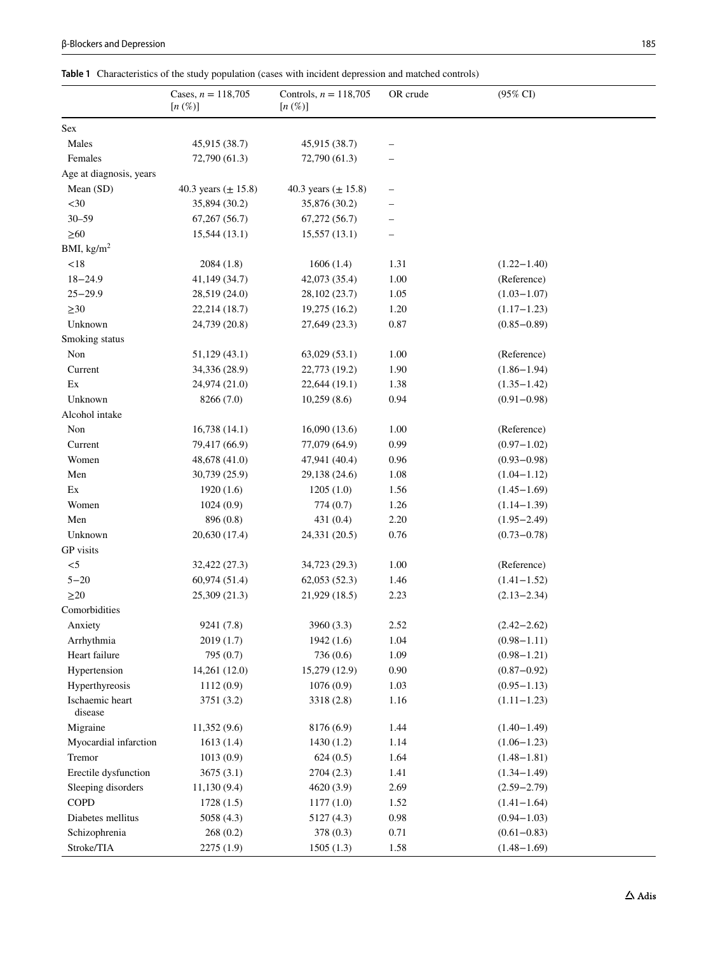| <b>B-Blockers and Depression</b> | 185 |
|----------------------------------|-----|
|----------------------------------|-----|

<span id="page-4-0"></span>**Table 1** Characteristics of the study population (cases with incident depression and matched controls)

|                            | Cases, $n = 118,705$    | Controls, $n = 118,705$ | OR crude | $(95\% \text{ CI})$ |  |
|----------------------------|-------------------------|-------------------------|----------|---------------------|--|
|                            | $[n \left( \% \right)]$ | $[n \left( \% \right)]$ |          |                     |  |
| Sex                        |                         |                         |          |                     |  |
| Males                      | 45,915 (38.7)           | 45,915 (38.7)           |          |                     |  |
| Females                    | 72,790 (61.3)           | 72,790 (61.3)           |          |                     |  |
| Age at diagnosis, years    |                         |                         |          |                     |  |
| Mean (SD)                  | 40.3 years $(\pm 15.8)$ | 40.3 years $(\pm 15.8)$ |          |                     |  |
| $30$                       | 35,894 (30.2)           | 35,876 (30.2)           |          |                     |  |
| $30 - 59$                  | $67,267$ $(56.7)$       | 67,272(56.7)            |          |                     |  |
| $\geq 60$                  | 15,544(13.1)            | 15,557(13.1)            |          |                     |  |
| BMI, $\text{kg/m}^2$       |                         |                         |          |                     |  |
| $<18$                      | 2084(1.8)               | 1606(1.4)               | 1.31     | $(1.22 - 1.40)$     |  |
| $18 - 24.9$                | 41,149 (34.7)           | 42,073 (35.4)           | $1.00\,$ | (Reference)         |  |
| $25 - 29.9$                | 28,519 (24.0)           | 28,102 (23.7)           | 1.05     | $(1.03 - 1.07)$     |  |
| $\geq 30$                  | 22,214 (18.7)           | 19,275 (16.2)           | 1.20     | $(1.17 - 1.23)$     |  |
| Unknown                    | 24,739 (20.8)           | 27,649 (23.3)           | 0.87     | $(0.85 - 0.89)$     |  |
| Smoking status             |                         |                         |          |                     |  |
| Non                        | 51,129 (43.1)           | $63,029$ $(53.1)$       | 1.00     | (Reference)         |  |
| Current                    | 34,336 (28.9)           | 22,773 (19.2)           | 1.90     | $(1.86 - 1.94)$     |  |
| Ex                         | 24,974 (21.0)           | 22,644 (19.1)           | 1.38     | $(1.35 - 1.42)$     |  |
| Unknown                    | 8266 (7.0)              | 10,259(8.6)             | 0.94     | $(0.91 - 0.98)$     |  |
| Alcohol intake             |                         |                         |          |                     |  |
| Non                        | 16,738(14.1)            | 16,090(13.6)            | 1.00     | (Reference)         |  |
| Current                    | 79,417 (66.9)           | 77,079 (64.9)           | 0.99     | $(0.97 - 1.02)$     |  |
| Women                      | 48,678 (41.0)           | 47,941 (40.4)           | 0.96     | $(0.93 - 0.98)$     |  |
| Men                        | 30,739 (25.9)           | 29,138 (24.6)           | 1.08     | $(1.04 - 1.12)$     |  |
| Ex                         | 1920(1.6)               | 1205(1.0)               | 1.56     | $(1.45 - 1.69)$     |  |
| Women                      | 1024(0.9)               | 774(0.7)                | 1.26     | $(1.14 - 1.39)$     |  |
| Men                        | 896 (0.8)               | 431 (0.4)               | 2.20     | $(1.95 - 2.49)$     |  |
| Unknown                    | 20,630 (17.4)           | 24,331 (20.5)           | 0.76     | $(0.73 - 0.78)$     |  |
| GP visits                  |                         |                         |          |                     |  |
| $< 5$                      | 32,422 (27.3)           | 34,723 (29.3)           | 1.00     | (Reference)         |  |
| $5 - 20$                   | 60,974 (51.4)           | 62,053(52.3)            | 1.46     | $(1.41 - 1.52)$     |  |
| $\geq$ 20                  | 25,309 (21.3)           | 21,929 (18.5)           | 2.23     | $(2.13 - 2.34)$     |  |
| Comorbidities              |                         |                         |          |                     |  |
| Anxiety                    | 9241 (7.8)              | 3960 (3.3)              | 2.52     | $(2.42 - 2.62)$     |  |
| Arrhythmia                 | 2019(1.7)               | 1942(1.6)               | 1.04     | $(0.98 - 1.11)$     |  |
| Heart failure              | 795 (0.7)               | 736 (0.6)               | 1.09     | $(0.98 - 1.21)$     |  |
| Hypertension               | 14,261 (12.0)           | 15,279 (12.9)           | $0.90\,$ | $(0.87 - 0.92)$     |  |
| Hyperthyreosis             | 1112(0.9)               | 1076(0.9)               | 1.03     | $(0.95 - 1.13)$     |  |
| Ischaemic heart<br>disease | 3751 (3.2)              | 3318 (2.8)              | 1.16     | $(1.11 - 1.23)$     |  |
| Migraine                   | 11,352(9.6)             | 8176 (6.9)              | 1.44     | $(1.40 - 1.49)$     |  |
| Myocardial infarction      | 1613(1.4)               | 1430(1.2)               | 1.14     | $(1.06 - 1.23)$     |  |
| Tremor                     | 1013(0.9)               | 624(0.5)                | 1.64     | $(1.48 - 1.81)$     |  |
| Erectile dysfunction       | 3675(3.1)               | 2704 (2.3)              | 1.41     | $(1.34 - 1.49)$     |  |
| Sleeping disorders         | 11,130(9.4)             | 4620 (3.9)              | 2.69     | $(2.59 - 2.79)$     |  |
| COPD                       | 1728(1.5)               | 1177(1.0)               | 1.52     | $(1.41 - 1.64)$     |  |
| Diabetes mellitus          | 5058 (4.3)              | 5127 (4.3)              | 0.98     | $(0.94 - 1.03)$     |  |
| Schizophrenia              | 268 (0.2)               | 378 (0.3)               | 0.71     | $(0.61 - 0.83)$     |  |
| Stroke/TIA                 | 2275 (1.9)              | 1505(1.3)               | 1.58     | $(1.48 - 1.69)$     |  |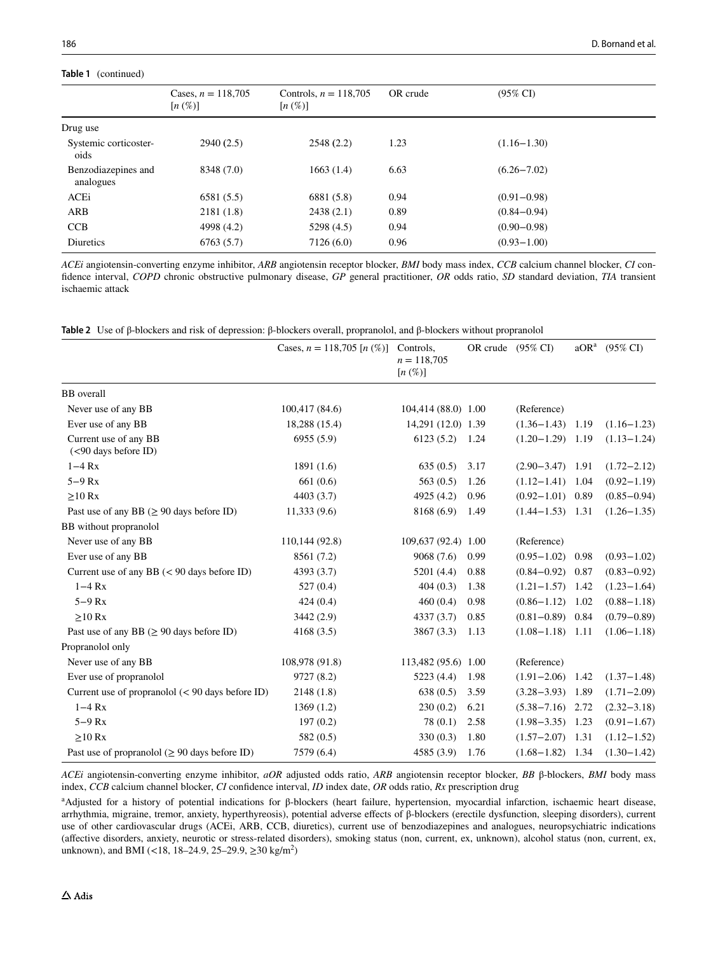Dr

#### **Tab**

| able I (continued)                |                                                    |          |                     |  |  |  |
|-----------------------------------|----------------------------------------------------|----------|---------------------|--|--|--|
| Cases, $n = 118,705$<br>$[n(\%)]$ | Controls, $n = 118,705$<br>$[n \left( \% \right)]$ | OR crude | $(95\% \text{ CI})$ |  |  |  |
|                                   |                                                    |          |                     |  |  |  |
| 2940(2.5)                         | 2548(2.2)                                          | 1.23     | $(1.16 - 1.30)$     |  |  |  |
| 8348 (7.0)                        | 1663 (1.4)                                         | 6.63     | $(6.26 - 7.02)$     |  |  |  |
| 6581(5.5)                         | 6881 (5.8)                                         | 0.94     | $(0.91 - 0.98)$     |  |  |  |
| 2181(1.8)                         | 2438(2.1)                                          | 0.89     | $(0.84 - 0.94)$     |  |  |  |
|                                   |                                                    |          |                     |  |  |  |

*ACEi* angiotensin-converting enzyme inhibitor, *ARB* angiotensin receptor blocker, *BMI* body mass index, *CCB* calcium channel blocker, *CI* confdence interval, *COPD* chronic obstructive pulmonary disease, *GP* general practitioner, *OR* odds ratio, *SD* standard deviation, *TIA* transient ischaemic attack

<span id="page-5-0"></span>

|  |  |  |  |  | Table 2 Use of $\beta$ -blockers and risk of depression: $\beta$ -blockers overall, propranolol, and $\beta$ -blockers without propranolol |
|--|--|--|--|--|--------------------------------------------------------------------------------------------------------------------------------------------|
|--|--|--|--|--|--------------------------------------------------------------------------------------------------------------------------------------------|

CCB 4998 (4.2) 5298 (4.5) 0.94 (0.90−0.98) Diuretics 6763 (5.7) 7126 (6.0) 0.96 (0.93−1.00)

|                                                            | Cases, $n = 118,705$ [n $(\%)$ ] | Controls,<br>$n = 118,705$<br>$[n \left( \% \right)]$ | OR crude (95% CI) |                      | aOR <sup>a</sup> | $(95\% \text{ CI})$ |
|------------------------------------------------------------|----------------------------------|-------------------------------------------------------|-------------------|----------------------|------------------|---------------------|
| <b>BB</b> overall                                          |                                  |                                                       |                   |                      |                  |                     |
| Never use of any BB                                        | 100,417 (84.6)                   | 104,414 (88.0) 1.00                                   |                   | (Reference)          |                  |                     |
| Ever use of any BB                                         | 18,288 (15.4)                    | 14,291 (12.0) 1.39                                    |                   | $(1.36 - 1.43)$      | 1.19             | $(1.16 - 1.23)$     |
| Current use of any BB<br>(<90 days before ID)              | 6955 (5.9)                       | 6123(5.2)                                             | 1.24              | $(1.20-1.29)$ 1.19   |                  | $(1.13 - 1.24)$     |
| $1-4$ Rx                                                   | 1891 (1.6)                       | 635(0.5)                                              | 3.17              | $(2.90 - 3.47)$      | 1.91             | $(1.72 - 2.12)$     |
| $5-9$ $Rx$                                                 | 661(0.6)                         | 563(0.5)                                              | 1.26              | $(1.12 - 1.41)$      | 1.04             | $(0.92 - 1.19)$     |
| $\geq 10$ Rx                                               | 4403 (3.7)                       | 4925 (4.2)                                            | 0.96              | $(0.92 - 1.01)$      | 0.89             | $(0.85 - 0.94)$     |
| Past use of any BB ( $\geq$ 90 days before ID)             | 11,333(9.6)                      | 8168 (6.9)                                            | 1.49              | $(1.44 - 1.53)$ 1.31 |                  | $(1.26 - 1.35)$     |
| BB without propranolol                                     |                                  |                                                       |                   |                      |                  |                     |
| Never use of any BB                                        | 110,144 (92.8)                   | 109,637 (92.4) 1.00                                   |                   | (Reference)          |                  |                     |
| Ever use of any BB                                         | 8561 (7.2)                       | 9068(7.6)                                             | 0.99              | $(0.95 - 1.02)$      | 0.98             | $(0.93 - 1.02)$     |
| Current use of any BB $(< 90$ days before ID)              | 4393 (3.7)                       | 5201 (4.4)                                            | 0.88              | $(0.84 - 0.92)$      | 0.87             | $(0.83 - 0.92)$     |
| $1-4$ $Rx$                                                 | 527(0.4)                         | 404(0.3)                                              | 1.38              | $(1.21 - 1.57)$      | 1.42             | $(1.23 - 1.64)$     |
| $5-9$ $Rx$                                                 | 424(0.4)                         | 460(0.4)                                              | 0.98              | $(0.86 - 1.12)$      | 1.02             | $(0.88 - 1.18)$     |
| $>10$ Rx                                                   | 3442 (2.9)                       | 4337(3.7)                                             | 0.85              | $(0.81 - 0.89)$      | 0.84             | $(0.79 - 0.89)$     |
| Past use of any BB ( $\geq$ 90 days before ID)             | 4168(3.5)                        | 3867 (3.3)                                            | 1.13              | $(1.08 - 1.18)$      | 1.11             | $(1.06 - 1.18)$     |
| Propranolol only                                           |                                  |                                                       |                   |                      |                  |                     |
| Never use of any BB                                        | 108,978 (91.8)                   | 113,482 (95.6) 1.00                                   |                   | (Reference)          |                  |                     |
| Ever use of propranolol                                    | 9727 (8.2)                       | 5223 (4.4)                                            | 1.98              | $(1.91 - 2.06)$      | 1.42             | $(1.37 - 1.48)$     |
| Current use of propranolol $(< 90 \text{ days}$ before ID) | 2148(1.8)                        | 638(0.5)                                              | 3.59              | $(3.28 - 3.93)$      | 1.89             | $(1.71 - 2.09)$     |
| $1-4 Rx$                                                   | 1369(1.2)                        | 230(0.2)                                              | 6.21              | $(5.38 - 7.16)$      | 2.72             | $(2.32 - 3.18)$     |
| $5-9$ $Rx$                                                 | 197(0.2)                         | 78(0.1)                                               | 2.58              | $(1.98 - 3.35)$      | 1.23             | $(0.91 - 1.67)$     |
| $>10$ Rx                                                   | 582(0.5)                         | 330(0.3)                                              | 1.80              | $(1.57 - 2.07)$      | 1.31             | $(1.12 - 1.52)$     |
| Past use of propranolol ( $\geq 90$ days before ID)        | 7579 (6.4)                       | 4585 (3.9)                                            | 1.76              | $(1.68 - 1.82)$ 1.34 |                  | $(1.30 - 1.42)$     |

*ACEi* angiotensin-converting enzyme inhibitor, *aOR* adjusted odds ratio, *ARB* angiotensin receptor blocker, *BB* β-blockers, *BMI* body mass index, *CCB* calcium channel blocker, *CI* confdence interval, *ID* index date, *OR* odds ratio, *Rx* prescription drug

a Adjusted for a history of potential indications for β-blockers (heart failure, hypertension, myocardial infarction, ischaemic heart disease, arrhythmia, migraine, tremor, anxiety, hyperthyreosis), potential adverse efects of β-blockers (erectile dysfunction, sleeping disorders), current use of other cardiovascular drugs (ACEi, ARB, CCB, diuretics), current use of benzodiazepines and analogues, neuropsychiatric indications (afective disorders, anxiety, neurotic or stress-related disorders), smoking status (non, current, ex, unknown), alcohol status (non, current, ex, unknown), and BMI (<18, 18–24.9, 25–29.9, ≥30 kg/m<sup>2</sup>)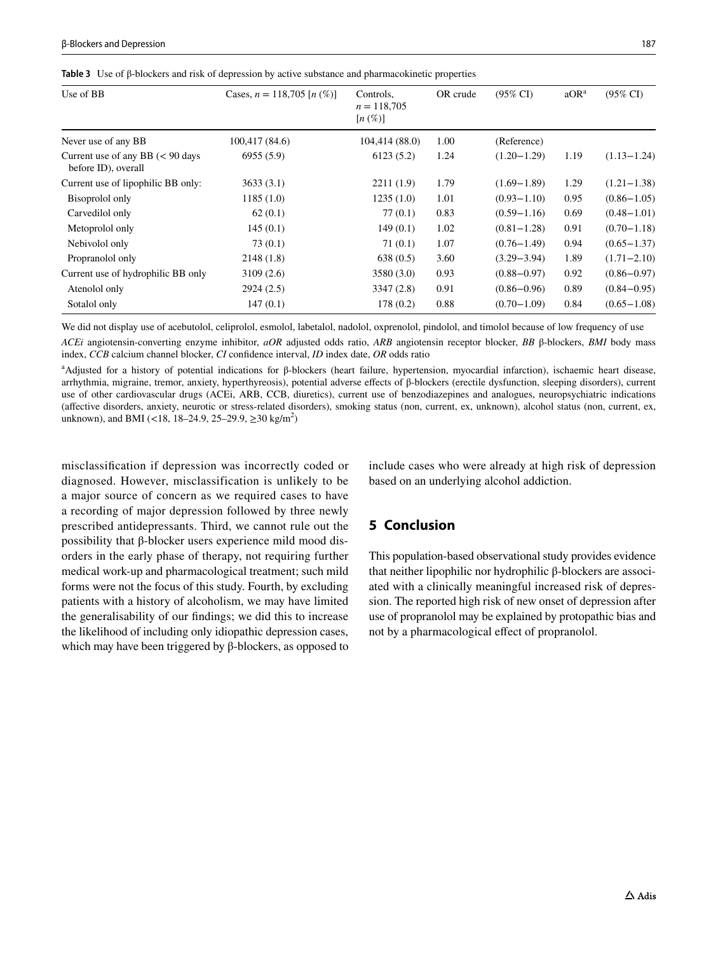<span id="page-6-0"></span>

|  |  |  |  |  | Table 3 Use of $\beta$ -blockers and risk of depression by active substance and pharmacokinetic properties |  |
|--|--|--|--|--|------------------------------------------------------------------------------------------------------------|--|
|--|--|--|--|--|------------------------------------------------------------------------------------------------------------|--|

| Use of BB                                                         | Cases, $n = 118,705$ [n $(\%)$ ] | Controls,<br>$n = 118,705$<br>$[n \left( \% \right)]$ | OR crude | $(95\% \text{ CI})$ | aOR <sup>a</sup> | $(95\% \text{ CI})$ |
|-------------------------------------------------------------------|----------------------------------|-------------------------------------------------------|----------|---------------------|------------------|---------------------|
| Never use of any BB                                               | 100,417 (84.6)                   | 104,414 (88.0)                                        | 1.00     | (Reference)         |                  |                     |
| Current use of any BB $(< 90 \text{ days}$<br>before ID), overall | 6955(5.9)                        | 6123(5.2)                                             | 1.24     | $(1.20 - 1.29)$     | 1.19             | $(1.13 - 1.24)$     |
| Current use of lipophilic BB only:                                | 3633(3.1)                        | 2211(1.9)                                             | 1.79     | $(1.69 - 1.89)$     | 1.29             | $(1.21 - 1.38)$     |
| Bisoprolol only                                                   | 1185(1.0)                        | 1235(1.0)                                             | 1.01     | $(0.93 - 1.10)$     | 0.95             | $(0.86 - 1.05)$     |
| Carvedilol only                                                   | 62(0.1)                          | 77(0.1)                                               | 0.83     | $(0.59 - 1.16)$     | 0.69             | $(0.48 - 1.01)$     |
| Metoprolol only                                                   | 145(0.1)                         | 149(0.1)                                              | 1.02     | $(0.81 - 1.28)$     | 0.91             | $(0.70 - 1.18)$     |
| Nebivolol only                                                    | 73(0.1)                          | 71(0.1)                                               | 1.07     | $(0.76 - 1.49)$     | 0.94             | $(0.65 - 1.37)$     |
| Propranolol only                                                  | 2148(1.8)                        | 638(0.5)                                              | 3.60     | $(3.29 - 3.94)$     | 1.89             | $(1.71 - 2.10)$     |
| Current use of hydrophilic BB only                                | 3109(2.6)                        | 3580 (3.0)                                            | 0.93     | $(0.88 - 0.97)$     | 0.92             | $(0.86 - 0.97)$     |
| Atenolol only                                                     | 2924(2.5)                        | 3347(2.8)                                             | 0.91     | $(0.86 - 0.96)$     | 0.89             | $(0.84 - 0.95)$     |
| Sotalol only                                                      | 147(0.1)                         | 178(0.2)                                              | 0.88     | $(0.70 - 1.09)$     | 0.84             | $(0.65 - 1.08)$     |

We did not display use of acebutolol, celiprolol, esmolol, labetalol, nadolol, oxprenolol, pindolol, and timolol because of low frequency of use

*ACEi* angiotensin-converting enzyme inhibitor, *aOR* adjusted odds ratio, *ARB* angiotensin receptor blocker, *BB* β-blockers, *BMI* body mass index, *CCB* calcium channel blocker, *CI* confdence interval, *ID* index date, *OR* odds ratio

a Adjusted for a history of potential indications for β-blockers (heart failure, hypertension, myocardial infarction), ischaemic heart disease, arrhythmia, migraine, tremor, anxiety, hyperthyreosis), potential adverse efects of β-blockers (erectile dysfunction, sleeping disorders), current use of other cardiovascular drugs (ACEi, ARB, CCB, diuretics), current use of benzodiazepines and analogues, neuropsychiatric indications (afective disorders, anxiety, neurotic or stress-related disorders), smoking status (non, current, ex, unknown), alcohol status (non, current, ex, unknown), and BMI (<18, 18–24.9, 25–29.9, ≥30 kg/m<sup>2</sup>)

misclassifcation if depression was incorrectly coded or diagnosed. However, misclassification is unlikely to be a major source of concern as we required cases to have a recording of major depression followed by three newly prescribed antidepressants. Third, we cannot rule out the possibility that β-blocker users experience mild mood disorders in the early phase of therapy, not requiring further medical work-up and pharmacological treatment; such mild forms were not the focus of this study. Fourth, by excluding patients with a history of alcoholism, we may have limited the generalisability of our fndings; we did this to increase the likelihood of including only idiopathic depression cases, which may have been triggered by β-blockers, as opposed to include cases who were already at high risk of depression based on an underlying alcohol addiction.

# **5 Conclusion**

This population-based observational study provides evidence that neither lipophilic nor hydrophilic β-blockers are associated with a clinically meaningful increased risk of depression. The reported high risk of new onset of depression after use of propranolol may be explained by protopathic bias and not by a pharmacological efect of propranolol.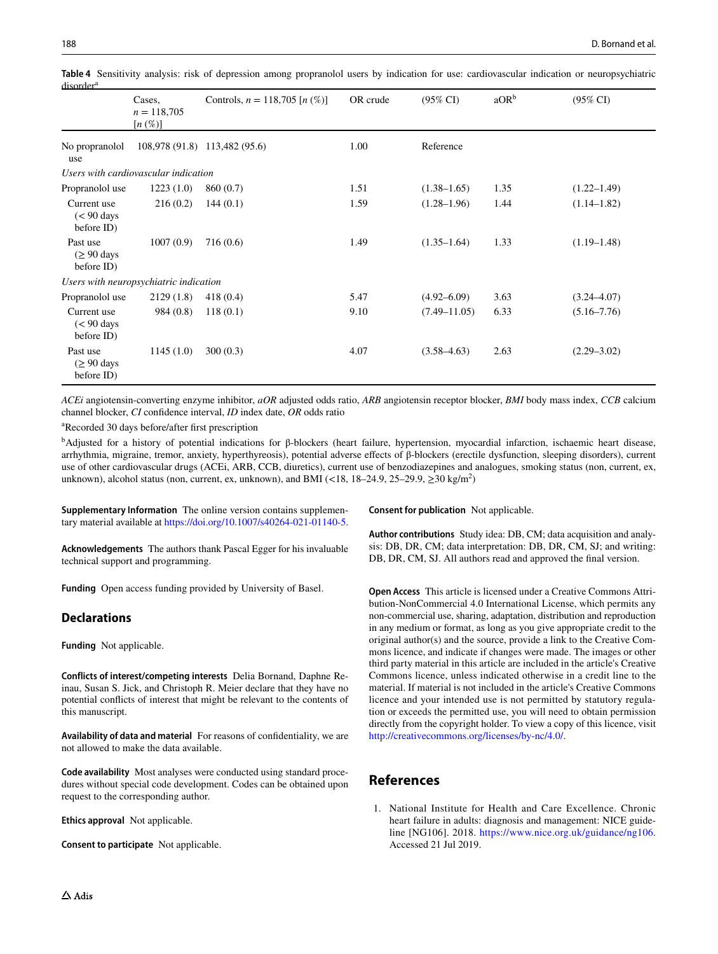|                                                    | Cases,<br>$n = 118,705$<br>$[n \left( \% \right)]$ | Controls, $n = 118,705$ [n $(\%)$ ] | OR crude | $(95\% \text{ CI})$ | aOR <sup>b</sup> | $(95\% \text{ CI})$ |
|----------------------------------------------------|----------------------------------------------------|-------------------------------------|----------|---------------------|------------------|---------------------|
| No propranolol<br>use                              |                                                    | 108,978 (91.8) 113,482 (95.6)       | 1.00     | Reference           |                  |                     |
|                                                    | Users with cardiovascular indication               |                                     |          |                     |                  |                     |
| Propranolol use                                    | 1223(1.0)                                          | 860 (0.7)                           | 1.51     | $(1.38 - 1.65)$     | 1.35             | $(1.22 - 1.49)$     |
| Current use<br>$(< 90 \text{ days})$<br>before ID) | 216(0.2)                                           | 144(0.1)                            | 1.59     | $(1.28 - 1.96)$     | 1.44             | $(1.14 - 1.82)$     |
| Past use<br>$(≥ 90 \text{ days})$<br>before ID)    | 1007(0.9)                                          | 716(0.6)                            | 1.49     | $(1.35-1.64)$       | 1.33             | $(1.19 - 1.48)$     |
|                                                    | Users with neuropsychiatric indication             |                                     |          |                     |                  |                     |
| Propranolol use                                    | 2129(1.8)                                          | 418(0.4)                            | 5.47     | $(4.92 - 6.09)$     | 3.63             | $(3.24 - 4.07)$     |
| Current use<br>$(< 90 \text{ days})$<br>before ID) | 984 (0.8)                                          | 118(0.1)                            | 9.10     | $(7.49 - 11.05)$    | 6.33             | $(5.16 - 7.76)$     |
| Past use<br>$( \geq 90 \text{ days}$<br>before ID) | 1145(1.0)                                          | 300(0.3)                            | 4.07     | $(3.58 - 4.63)$     | 2.63             | $(2.29 - 3.02)$     |

<span id="page-7-1"></span>**Table 4** Sensitivity analysis: risk of depression among propranolol users by indication for use: cardiovascular indication or neuropsychiatric disordera

*ACEi* angiotensin-converting enzyme inhibitor, *aOR* adjusted odds ratio, *ARB* angiotensin receptor blocker, *BMI* body mass index, *CCB* calcium channel blocker, *CI* confdence interval, *ID* index date, *OR* odds ratio

a Recorded 30 days before/after frst prescription

bAdjusted for a history of potential indications for β-blockers (heart failure, hypertension, myocardial infarction, ischaemic heart disease, arrhythmia, migraine, tremor, anxiety, hyperthyreosis), potential adverse efects of β-blockers (erectile dysfunction, sleeping disorders), current use of other cardiovascular drugs (ACEi, ARB, CCB, diuretics), current use of benzodiazepines and analogues, smoking status (non, current, ex, unknown), alcohol status (non, current, ex, unknown), and BMI (<18, 18–24.9, 25–29.9,  $\geq$ 30 kg/m<sup>2</sup>)

**Supplementary Information** The online version contains supplementary material available at<https://doi.org/10.1007/s40264-021-01140-5>.

**Acknowledgements** The authors thank Pascal Egger for his invaluable technical support and programming.

**Funding** Open access funding provided by University of Basel.

## **Declarations**

**Funding** Not applicable.

**Conflicts of interest/competing interests** Delia Bornand, Daphne Reinau, Susan S. Jick, and Christoph R. Meier declare that they have no potential conficts of interest that might be relevant to the contents of this manuscript.

**Availability of data and material** For reasons of confdentiality, we are not allowed to make the data available.

**Code availability** Most analyses were conducted using standard procedures without special code development. Codes can be obtained upon request to the corresponding author.

**Ethics approval** Not applicable.

**Consent to participate** Not applicable.

**Consent for publication** Not applicable.

**Author contributions** Study idea: DB, CM; data acquisition and analysis: DB, DR, CM; data interpretation: DB, DR, CM, SJ; and writing: DB, DR, CM, SJ. All authors read and approved the fnal version.

**Open Access** This article is licensed under a Creative Commons Attribution-NonCommercial 4.0 International License, which permits any non-commercial use, sharing, adaptation, distribution and reproduction in any medium or format, as long as you give appropriate credit to the original author(s) and the source, provide a link to the Creative Commons licence, and indicate if changes were made. The images or other third party material in this article are included in the article's Creative Commons licence, unless indicated otherwise in a credit line to the material. If material is not included in the article's Creative Commons licence and your intended use is not permitted by statutory regulation or exceeds the permitted use, you will need to obtain permission directly from the copyright holder. To view a copy of this licence, visit <http://creativecommons.org/licenses/by-nc/4.0/>.

## **References**

<span id="page-7-0"></span>1. National Institute for Health and Care Excellence. Chronic heart failure in adults: diagnosis and management: NICE guideline [NG106]. 2018. <https://www.nice.org.uk/guidance/ng106>. Accessed 21 Jul 2019.